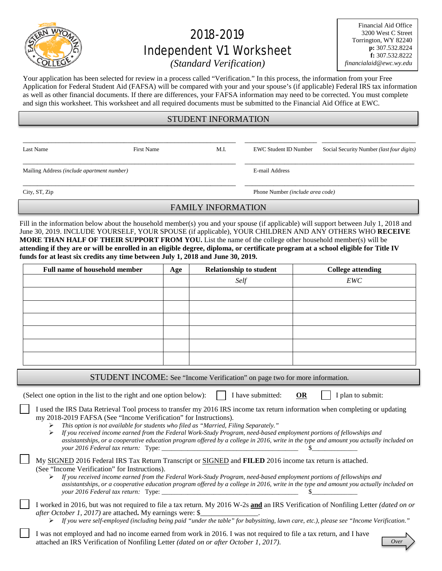

# 2018-2019 Independent V1 Worksheet

Financial Aid Office 3200 West C Street Torrington, WY 82240 **p:** 307.532.8224 **f:** 307.532.8222 *financialaid@ewc.wy.edu*

# *(Standard Verification)*

Your application has been selected for review in a process called "Verification." In this process, the information from your Free Application for Federal Student Aid (FAFSA) will be compared with your and your spouse's (if applicable) Federal IRS tax information as well as other financial documents. If there are differences, your FAFSA information may need to be corrected. You must complete and sign this worksheet. This worksheet and all required documents must be submitted to the Financial Aid Office at EWC.

# STUDENT INFORMATION

\_\_\_\_\_\_\_\_\_\_\_\_\_\_\_\_\_\_\_\_\_\_\_\_\_\_\_\_\_\_\_\_\_\_\_\_\_\_\_\_\_\_\_\_\_\_\_\_\_\_\_\_\_\_\_\_\_\_\_ \_\_\_\_\_\_\_\_\_\_\_\_\_\_\_\_\_\_\_\_ \_\_\_\_\_\_\_\_\_\_\_\_\_\_\_\_\_\_\_\_\_\_\_\_\_\_

\_\_\_\_\_\_\_\_\_\_\_\_\_\_\_\_\_\_\_\_\_\_\_\_\_\_\_\_\_\_\_\_\_\_\_\_\_\_\_\_\_\_\_\_\_\_\_\_\_\_\_\_\_\_\_\_\_\_\_ \_\_\_\_\_\_\_\_\_\_\_\_\_\_\_\_\_\_\_\_\_\_\_\_\_\_\_\_\_\_\_\_\_\_\_\_\_\_\_\_\_\_\_\_\_\_\_

\_\_\_\_\_\_\_\_\_\_\_\_\_\_\_\_\_\_\_\_\_\_\_\_\_\_\_\_\_\_\_\_\_\_\_\_\_\_\_\_\_\_\_\_\_\_\_\_\_\_\_\_\_\_\_\_\_\_\_ \_\_\_\_\_\_\_\_\_\_\_\_\_\_\_\_\_\_\_\_\_\_\_\_\_\_\_\_\_\_\_\_\_\_\_\_\_\_\_\_\_\_\_\_\_\_\_

Mailing Address *(include apartment number)* E-mail Address

Last Name First Name First Name M.I. EWC Student ID Number Social Security Number *(last four digits)* 

City, ST, Zip Phone Number *(include area code)*

# FAMILY INFORMATION

Fill in the information below about the household member(s) you and your spouse (if applicable) will support between July 1, 2018 and June 30, 2019. INCLUDE YOURSELF, YOUR SPOUSE (if applicable), YOUR CHILDREN AND ANY OTHERS WHO **RECEIVE MORE THAN HALF OF THEIR SUPPORT FROM YOU.** List the name of the college other household member(s) will be **attending if they are or will be enrolled in an eligible degree, diploma, or certificate program at a school eligible for Title IV funds for at least six credits any time between July 1, 2018 and June 30, 2019.**

| <b>Full name of household member</b> | Age | <b>Relationship to student</b> | <b>College attending</b> |  |
|--------------------------------------|-----|--------------------------------|--------------------------|--|
|                                      |     | Self                           | EWC                      |  |
|                                      |     |                                |                          |  |
|                                      |     |                                |                          |  |
|                                      |     |                                |                          |  |
|                                      |     |                                |                          |  |
|                                      |     |                                |                          |  |
|                                      |     |                                |                          |  |

STUDENT INCOME: See "Income Verification" on page two for more information.

(Select one option in the list to the right and one option below):  $\parallel$  I have submitted: **OR** I plan to submit:

I used the IRS Data Retrieval Tool process to transfer my 2016 IRS income tax return information when completing or updating my 2018-2019 FAFSA (See "Income Verification" for Instructions). *This option is not available for students who filed as "Married, Filing Separately."*

 *If you received income earned from the Federal Work-Study Program, need-based employment portions of fellowships and assistantships, or a cooperative education program offered by a college in 2016, write in the type and amount you actually included on your 2016 Federal tax return:* Type: \_\_\_\_\_\_\_\_\_\_\_\_\_\_\_\_\_\_\_\_\_\_\_\_\_\_\_\_\_\_\_\_\_\_\_\_\_\_\_\_\_\_ \$\_\_\_\_\_\_\_\_\_\_\_\_\_\_

| My SIGNED 2016 Federal IRS Tax Return Transcript or SIGNED and FILED 2016 income tax return is attached. |  |
|----------------------------------------------------------------------------------------------------------|--|
| (See "Income Verification" for Instructions).                                                            |  |

 *If you received income earned from the Federal Work-Study Program, need-based employment portions of fellowships and assistantships, or a cooperative education program offered by a college in 2016, write in the type and amount you actually included on your 2016 Federal tax return:* Type: \_\_\_\_\_\_\_\_\_\_\_\_\_\_\_\_\_\_\_\_\_\_\_\_\_\_\_\_\_\_\_\_\_\_\_\_\_\_\_\_\_\_ \$\_\_\_\_\_\_\_\_\_\_\_\_\_\_

I worked in 2016, but was not required to file a tax return. My 2016 W-2s **and** an IRS Verification of Nonfiling Letter *(dated on or after October 1, 2017)* are attached. My earnings were: \$

*If you were self-employed (including being paid "under the table" for babysitting, lawn care, etc.), please see "Income Verification."*

I was not employed and had no income earned from work in 2016. I was not required to file a tax return, and I have attached an IRS Verification of Nonfiling Letter *(dated on or after October 1, 2017)*.